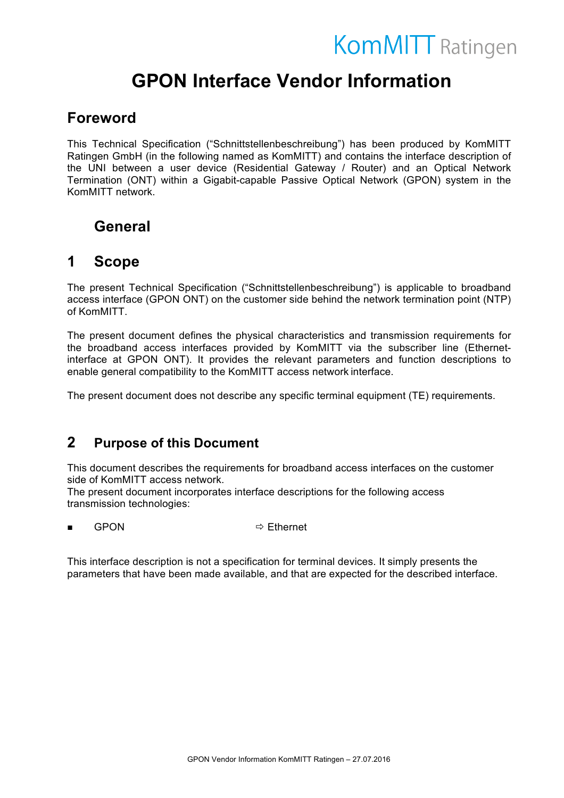# **KomMITT** Ratingen

# **GPON Interface Vendor Information**

# **Foreword**

This Technical Specification ("Schnittstellenbeschreibung") has been produced by KomMITT Ratingen GmbH (in the following named as KomMITT) and contains the interface description of the UNI between a user device (Residential Gateway / Router) and an Optical Network Termination (ONT) within a Gigabit-capable Passive Optical Network (GPON) system in the KomMITT network.

# **General**

# **1 Scope**

The present Technical Specification ("Schnittstellenbeschreibung") is applicable to broadband access interface (GPON ONT) on the customer side behind the network termination point (NTP) of KomMITT.

The present document defines the physical characteristics and transmission requirements for the broadband access interfaces provided by KomMITT via the subscriber line (Ethernetinterface at GPON ONT). It provides the relevant parameters and function descriptions to enable general compatibility to the KomMITT access network interface.

The present document does not describe any specific terminal equipment (TE) requirements.

# **2 Purpose of this Document**

This document describes the requirements for broadband access interfaces on the customer side of KomMITT access network.

The present document incorporates interface descriptions for the following access transmission technologies:

 $GPON \Rightarrow$  Fthernet

This interface description is not a specification for terminal devices. It simply presents the parameters that have been made available, and that are expected for the described interface.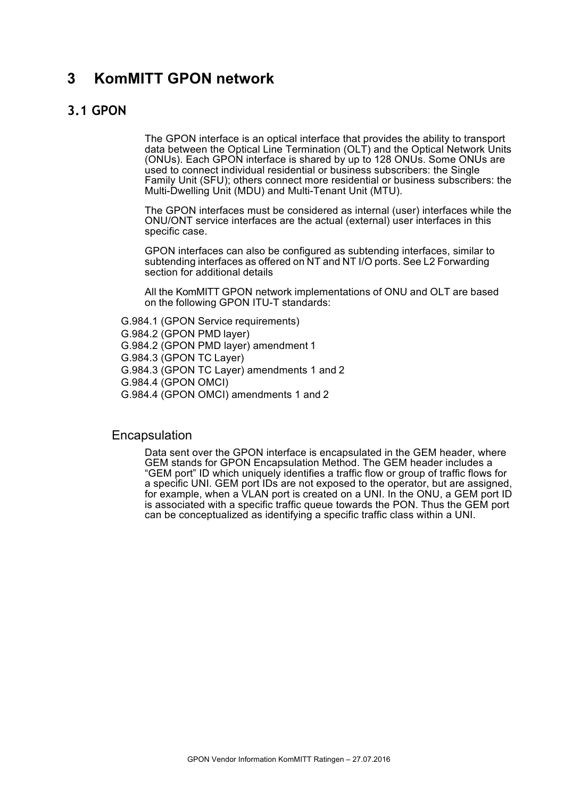# **3 KomMITT GPON network**

### **3.1 GPON**

The GPON interface is an optical interface that provides the ability to transport data between the Optical Line Termination (OLT) and the Optical Network Units (ONUs). Each GPON interface is shared by up to 128 ONUs. Some ONUs are used to connect individual residential or business subscribers: the Single Family Unit (SFU); others connect more residential or business subscribers: the Multi-Dwelling Unit (MDU) and Multi-Tenant Unit (MTU).

The GPON interfaces must be considered as internal (user) interfaces while the ONU/ONT service interfaces are the actual (external) user interfaces in this specific case.

GPON interfaces can also be configured as subtending interfaces, similar to subtending interfaces as offered on NT and NT I/O ports. See L2 Forwarding section for additional details

All the KomMITT GPON network implementations of ONU and OLT are based on the following GPON ITU-T standards:

G.984.1 (GPON Service requirements)

G.984.2 (GPON PMD layer) G.984.2 (GPON PMD layer) amendment 1 G.984.3 (GPON TC Layer) G.984.3 (GPON TC Layer) amendments 1 and 2 G.984.4 (GPON OMCI)

G.984.4 (GPON OMCI) amendments 1 and 2

#### Encapsulation

Data sent over the GPON interface is encapsulated in the GEM header, where GEM stands for GPON Encapsulation Method. The GEM header includes a "GEM port" ID which uniquely identifies a traffic flow or group of traffic flows for a specific UNI. GEM port IDs are not exposed to the operator, but are assigned, for example, when a VLAN port is created on a UNI. In the ONU, a GEM port ID is associated with a specific traffic queue towards the PON. Thus the GEM port can be conceptualized as identifying a specific traffic class within a UNI.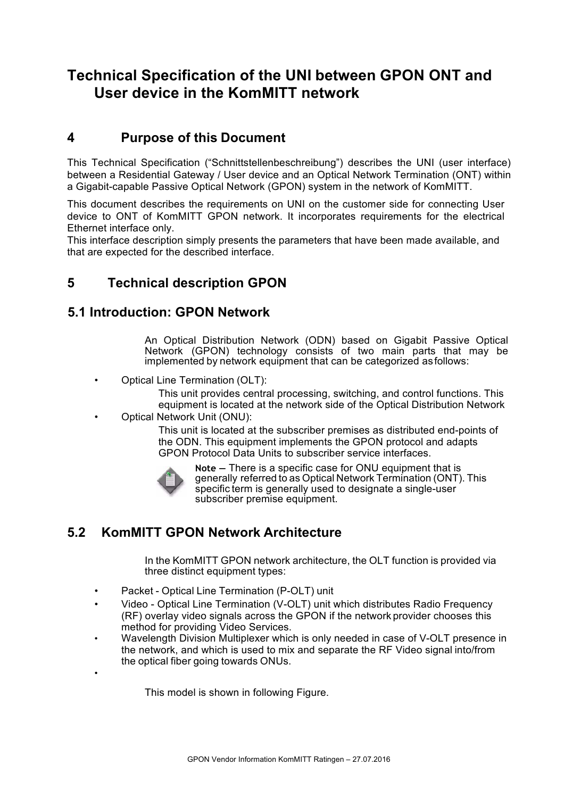# **Technical Specification of the UNI between GPON ONT and User device in the KomMITT network**

# **4 Purpose of this Document**

This Technical Specification ("Schnittstellenbeschreibung") describes the UNI (user interface) between a Residential Gateway / User device and an Optical Network Termination (ONT) within a Gigabit-capable Passive Optical Network (GPON) system in the network of KomMITT.

This document describes the requirements on UNI on the customer side for connecting User device to ONT of KomMITT GPON network. It incorporates requirements for the electrical Ethernet interface only.

This interface description simply presents the parameters that have been made available, and that are expected for the described interface.

# **5 Technical description GPON**

### **5.1 Introduction: GPON Network**

An Optical Distribution Network (ODN) based on Gigabit Passive Optical Network (GPON) technology consists of two main parts that may be implemented by network equipment that can be categorized as follows:

• Optical Line Termination (OLT):

This unit provides central processing, switching, and control functions. This equipment is located at the network side of the Optical Distribution Network

• Optical Network Unit (ONU):

This unit is located at the subscriber premises as distributed end-points of the ODN. This equipment implements the GPON protocol and adapts GPON Protocol Data Units to subscriber service interfaces.



•

**Note —** There is a specific case for ONU equipment that is generally referred to as Optical Network Termination (ONT). This specific term is generally used to designate a single-user subscriber premise equipment.

# **5.2 KomMITT GPON Network Architecture**

In the KomMITT GPON network architecture, the OLT function is provided via three distinct equipment types:

- Packet Optical Line Termination (P-OLT) unit
- Video Optical Line Termination (V-OLT) unit which distributes Radio Frequency (RF) overlay video signals across the GPON if the network provider chooses this method for providing Video Services.
- Wavelength Division Multiplexer which is only needed in case of V-OLT presence in the network, and which is used to mix and separate the RF Video signal into/from the optical fiber going towards ONUs.

This model is shown in following Figure.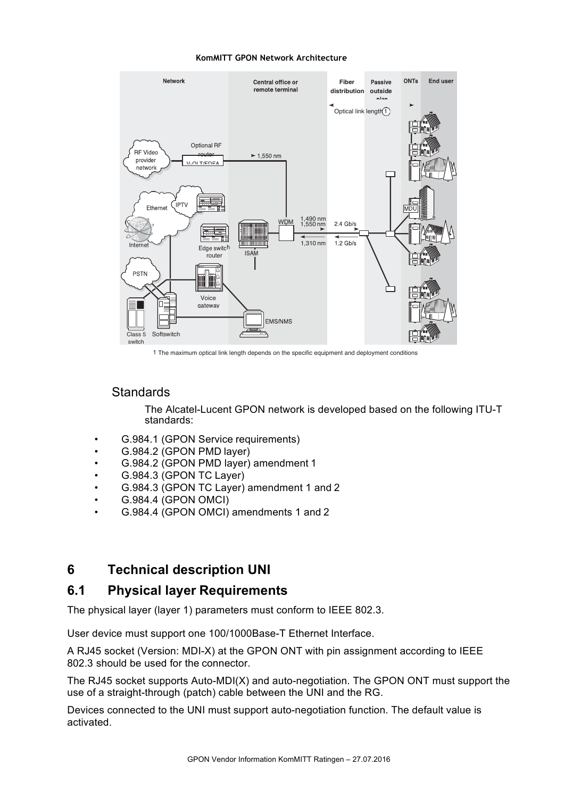#### **KomMITT GPON Network Architecture**



1 The maximum optical link length depends on the specific equipment and deployment conditions

### **Standards**

The Alcatel-Lucent GPON network is developed based on the following ITU-T standards:

- G.984.1 (GPON Service requirements)
- G.984.2 (GPON PMD layer)
- G.984.2 (GPON PMD layer) amendment 1
- G.984.3 (GPON TC Layer)
- G.984.3 (GPON TC Layer) amendment 1 and 2
- G.984.4 (GPON OMCI)
- G.984.4 (GPON OMCI) amendments 1 and 2

### **6 Technical description UNI**

### **6.1 Physical layer Requirements**

The physical layer (layer 1) parameters must conform to IEEE 802.3.

User device must support one 100/1000Base-T Ethernet Interface.

A RJ45 socket (Version: MDI-X) at the GPON ONT with pin assignment according to IEEE 802.3 should be used for the connector.

The RJ45 socket supports Auto-MDI(X) and auto-negotiation. The GPON ONT must support the use of a straight-through (patch) cable between the UNI and the RG.

Devices connected to the UNI must support auto-negotiation function. The default value is activated.